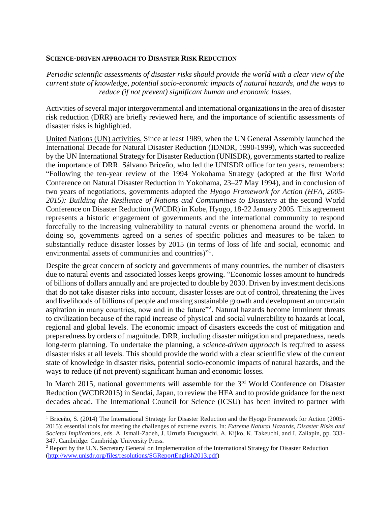## **SCIENCE-DRIVEN APPROACH TO DISASTER RISK REDUCTION**

*Periodic scientific assessments of disaster risks should provide the world with a clear view of the current state of knowledge, potential socio-economic impacts of natural hazards, and the ways to reduce (if not prevent) significant human and economic losses.*

Activities of several major intergovernmental and international organizations in the area of disaster risk reduction (DRR) are briefly reviewed here, and the importance of scientific assessments of disaster risks is highlighted.

United Nations (UN) activities. Since at least 1989, when the UN General Assembly launched the International Decade for Natural Disaster Reduction (IDNDR, 1990-1999), which was succeeded by the UN International Strategy for Disaster Reduction (UNISDR), governments started to realize the importance of DRR. Sálvano Briceño, who led the UNISDR office for ten years, remembers: "Following the ten-year review of the 1994 Yokohama Strategy (adopted at the first World Conference on Natural Disaster Reduction in Yokohama, 23–27 May 1994), and in conclusion of two years of negotiations, governments adopted the *Hyogo Framework for Action (HFA, 2005- 2015): Building the Resilience of Nations and Communities to Disasters* at the second World Conference on Disaster Reduction (WCDR) in Kobe, Hyogo, 18-22 January 2005. This agreement represents a historic engagement of governments and the international community to respond forcefully to the increasing vulnerability to natural events or phenomena around the world. In doing so, governments agreed on a series of specific policies and measures to be taken to substantially reduce disaster losses by 2015 (in terms of loss of life and social, economic and environmental assets of communities and countries)"<sup>1</sup>.

Despite the great concern of society and governments of many countries, the number of disasters due to natural events and associated losses keeps growing. "Economic losses amount to hundreds of billions of dollars annually and are projected to double by 2030. Driven by investment decisions that do not take disaster risks into account, disaster losses are out of control, threatening the lives and livelihoods of billions of people and making sustainable growth and development an uncertain aspiration in many countries, now and in the future"<sup>2</sup>. Natural hazards become imminent threats to civilization because of the rapid increase of physical and social vulnerability to hazards at local, regional and global levels. The economic impact of disasters exceeds the cost of mitigation and preparedness by orders of magnitude. DRR, including disaster mitigation and preparedness, needs long-term planning. To undertake the planning, a *science-driven approach* is required to assess disaster risks at all levels. This should provide the world with a clear scientific view of the current state of knowledge in disaster risks, potential socio-economic impacts of natural hazards, and the ways to reduce (if not prevent) significant human and economic losses.

In March 2015, national governments will assemble for the 3<sup>rd</sup> World Conference on Disaster Reduction (WCDR2015) in Sendai, Japan, to review the HFA and to provide guidance for the next decades ahead. The International Council for Science (ICSU) has been invited to partner with

l

<sup>&</sup>lt;sup>1</sup> Briceño, S. (2014) The International Strategy for Disaster Reduction and the Hyogo Framework for Action (2005-2015): essential tools for meeting the challenges of extreme events. In: *Extreme Natural Hazards, Disaster Risks and Societal Implications*, eds. A. Ismail-Zadeh, J. Urrutia Fucugauchi, A. Kijko, K. Takeuchi, and I. Zaliapin, pp. 333- 347. Cambridge: Cambridge University Press.

<sup>&</sup>lt;sup>2</sup> Report by the U.N. Secretary General on Implementation of the International Strategy for Disaster Reduction [\(http://www.unisdr.org/files/resolutions/SGReportEnglish2013.pdf\)](http://www.unisdr.org/files/resolutions/SGReportEnglish2013.pdf)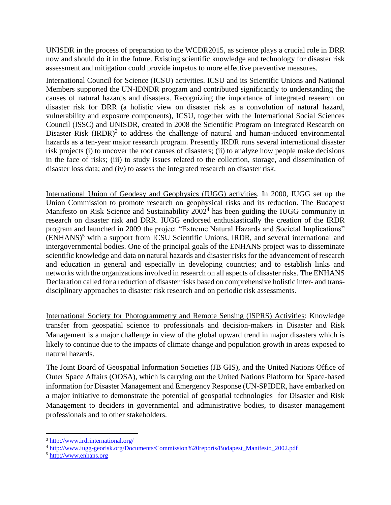UNISDR in the process of preparation to the WCDR2015, as science plays a crucial role in DRR now and should do it in the future. Existing scientific knowledge and technology for disaster risk assessment and mitigation could provide impetus to more effective preventive measures.

International Council for Science (ICSU) activities. ICSU and its Scientific Unions and National Members supported the UN-IDNDR program and contributed significantly to understanding the causes of natural hazards and disasters. Recognizing the importance of integrated research on disaster risk for DRR (a holistic view on disaster risk as a convolution of natural hazard, vulnerability and exposure components), ICSU, together with the International Social Sciences Council (ISSC) and UNISDR, created in 2008 the Scientific Program on Integrated Research on Disaster Risk  $(IRDR)^3$  to address the challenge of natural and human-induced environmental hazards as a ten-year major research program. Presently IRDR runs several international disaster risk projects (i) to uncover the root causes of disasters; (ii) to analyze how people make decisions in the face of risks; (iii) to study issues related to the collection, storage, and dissemination of disaster loss data; and (iv) to assess the integrated research on disaster risk.

International Union of Geodesy and Geophysics (IUGG) activities. In 2000, IUGG set up the Union Commission to promote research on geophysical risks and its reduction. The Budapest Manifesto on Risk Science and Sustainability 2002<sup>4</sup> has been guiding the IUGG community in research on disaster risk and DRR. IUGG endorsed enthusiastically the creation of the IRDR program and launched in 2009 the project "Extreme Natural Hazards and Societal Implications" (ENHANS) <sup>5</sup> with a support from ICSU Scientific Unions, IRDR, and several international and intergovernmental bodies. One of the principal goals of the ENHANS project was to disseminate scientific knowledge and data on natural hazards and disaster risks for the advancement of research and education in general and especially in developing countries; and to establish links and networks with the organizations involved in research on all aspects of disaster risks. The ENHANS Declaration called for a reduction of disaster risks based on comprehensive holistic inter- and transdisciplinary approaches to disaster risk research and on periodic risk assessments.

International Society for Photogrammetry and Remote Sensing (ISPRS) Activities: Knowledge transfer from geospatial science to professionals and decision-makers in Disaster and Risk Management is a major challenge in view of the global upward trend in major disasters which is likely to continue due to the impacts of climate change and population growth in areas exposed to natural hazards.

The Joint Board of Geospatial Information Societies (JB GIS), and the United Nations Office of Outer Space Affairs (OOSA), which is carrying out the United Nations Platform for Space-based information for Disaster Management and Emergency Response (UN-SPIDER, have embarked on a major initiative to demonstrate the potential of geospatial technologies for Disaster and Risk Management to deciders in governmental and administrative bodies, to disaster management professionals and to other stakeholders.

 $\overline{\phantom{a}}$ 

<sup>3</sup> <http://www.irdrinternational.org/>

<sup>4</sup> [http://www.iugg-georisk.org/Documents/Commission%20reports/Budapest\\_Manifesto\\_2002.pdf](http://www.iugg-georisk.org/Documents/Commission%20reports/Budapest_Manifesto_2002.pdf)

<sup>5</sup> [http://www.enhans.org](http://www.enhans.org/)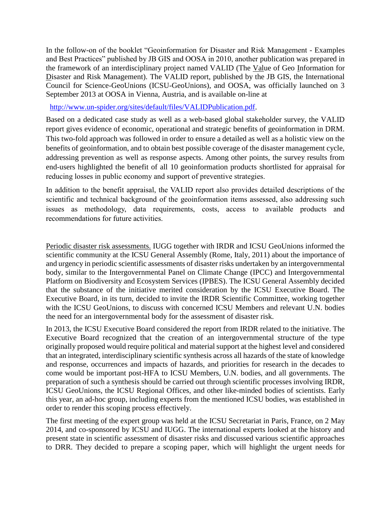In the follow-on of the booklet "Geoinformation for Disaster and Risk Management - Examples and Best Practices" published by JB GIS and OOSA in 2010, another publication was prepared in the framework of an interdisciplinary project named VALID (The Value of Geo Information for Disaster and Risk Management). The VALID report, published by the JB GIS, the International Council for Science-GeoUnions (ICSU-GeoUnions), and OOSA, was officially launched on 3 September 2013 at OOSA in Vienna, Austria, and is available on-line at

[http://www.un-spider.org/sites/default/files/VALIDPublication.pdf.](http://www.un-spider.org/sites/default/files/VALIDPublication.pdf)

Based on a dedicated case study as well as a web-based global stakeholder survey, the VALID report gives evidence of economic, operational and strategic benefits of geoinformation in DRM. This two-fold approach was followed in order to ensure a detailed as well as a holistic view on the benefits of geoinformation, and to obtain best possible coverage of the disaster management cycle, addressing prevention as well as response aspects. Among other points, the survey results from end-users highlighted the benefit of all 10 geoinformation products shortlisted for appraisal for reducing losses in public economy and support of preventive strategies.

In addition to the benefit appraisal, the VALID report also provides detailed descriptions of the scientific and technical background of the geoinformation items assessed, also addressing such issues as methodology, data requirements, costs, access to available products and recommendations for future activities.

Periodic disaster risk assessments. IUGG together with IRDR and ICSU GeoUnions informed the scientific community at the ICSU General Assembly (Rome, Italy, 2011) about the importance of and urgency in periodic scientific assessments of disaster risks undertaken by an intergovernmental body, similar to the Intergovernmental Panel on Climate Change (IPCC) and Intergovernmental Platform on Biodiversity and Ecosystem Services (IPBES). The ICSU General Assembly decided that the substance of the initiative merited consideration by the ICSU Executive Board. The Executive Board, in its turn, decided to invite the IRDR Scientific Committee, working together with the ICSU GeoUnions, to discuss with concerned ICSU Members and relevant U.N. bodies the need for an intergovernmental body for the assessment of disaster risk.

In 2013, the ICSU Executive Board considered the report from IRDR related to the initiative. The Executive Board recognized that the creation of an intergovernmental structure of the type originally proposed would require political and material support at the highest level and considered that an integrated, interdisciplinary scientific synthesis across all hazards of the state of knowledge and response, occurrences and impacts of hazards, and priorities for research in the decades to come would be important post-HFA to ICSU Members, U.N. bodies, and all governments. The preparation of such a synthesis should be carried out through scientific processes involving IRDR, ICSU GeoUnions, the ICSU Regional Offices, and other like-minded bodies of scientists. Early this year, an ad-hoc group, including experts from the mentioned ICSU bodies, was established in order to render this scoping process effectively.

The first meeting of the expert group was held at the ICSU Secretariat in Paris, France, on 2 May 2014, and co-sponsored by ICSU and IUGG. The international experts looked at the history and present state in scientific assessment of disaster risks and discussed various scientific approaches to DRR. They decided to prepare a scoping paper, which will highlight the urgent needs for